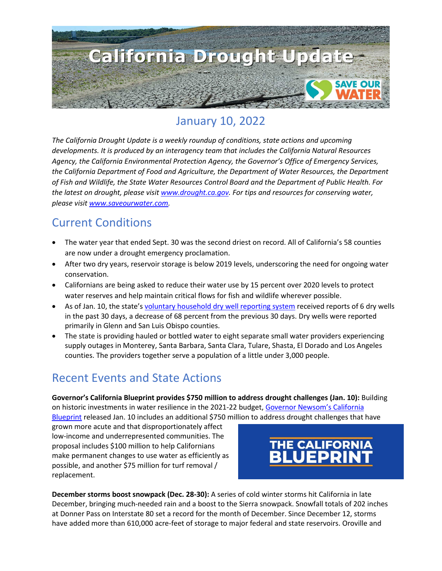

# January 10, 2022

*The California Drought Update is a weekly roundup of conditions, state actions and upcoming developments. It is produced by an interagency team that includes the California Natural Resources Agency, the California Environmental Protection Agency, the Governor's Office of Emergency Services, the California Department of Food and Agriculture, the Department of Water Resources, the Department of Fish and Wildlife, the State Water Resources Control Board and the Department of Public Health. For the latest on drought, please visit [www.drought.ca.gov.](http://www.drought.ca.gov/) For tips and resources for conserving water, please visit [www.saveourwater.com.](http://www.saveourwater.com/)*

#### Current Conditions

- The water year that ended Sept. 30 was the second driest on record. All of California's 58 counties are now under a drought emergency proclamation.
- After two dry years, reservoir storage is below 2019 levels, underscoring the need for ongoing water conservation.
- Californians are being asked to reduce their water use by 15 percent over 2020 levels to protect water reserves and help maintain critical flows for fish and wildlife wherever possible.
- As of Jan. 10, the state's [voluntary household dry well reporting system](https://mydrywell.water.ca.gov/report/) received reports of 6 dry wells in the past 30 days, a decrease of 68 percent from the previous 30 days. Dry wells were reported primarily in Glenn and San Luis Obispo counties.
- The state is providing hauled or bottled water to eight separate small water providers experiencing supply outages in Monterey, Santa Barbara, Santa Clara, Tulare, Shasta, El Dorado and Los Angeles counties. The providers together serve a population of a little under 3,000 people.

## Recent Events and State Actions

**Governor's California Blueprint provides \$750 million to address drought challenges (Jan. 10):** Building on historic investments in water resilience in the 2021-22 budget, [Governor Newsom's California](https://www.ebudget.ca.gov/budget/2022-23/#/BudgetSummary)  [Blueprint](https://www.ebudget.ca.gov/budget/2022-23/#/BudgetSummary) released Jan. 10 includes an additional \$750 million to address drought challenges that have

grown more acute and that disproportionately affect low-income and underrepresented communities. The proposal includes \$100 million to help Californians make permanent changes to use water as efficiently as possible, and another \$75 million for turf removal / replacement.



**December storms boost snowpack (Dec. 28-30):** A series of cold winter storms hit California in late December, bringing much-needed rain and a boost to the Sierra snowpack. Snowfall totals of 202 inches at Donner Pass on Interstate 80 set a record for the month of December. Since December 12, storms have added more than 610,000 acre-feet of storage to major federal and state reservoirs. Oroville and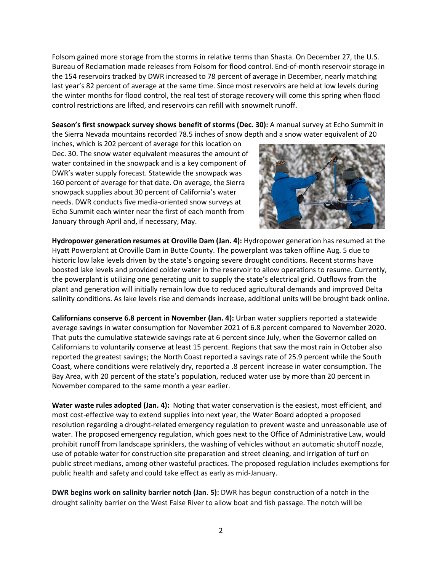Folsom gained more storage from the storms in relative terms than Shasta. On December 27, the U.S. Bureau of Reclamation made releases from Folsom for flood control. End-of-month reservoir storage in the 154 reservoirs tracked by DWR increased to 78 percent of average in December, nearly matching last year's 82 percent of average at the same time. Since most reservoirs are held at low levels during the winter months for flood control, the real test of storage recovery will come this spring when flood control restrictions are lifted, and reservoirs can refill with snowmelt runoff.

**Season's first snowpack survey shows benefit of storms (Dec. 30):** A manual survey at Echo Summit in the Sierra Nevada mountains recorded 78.5 inches of snow depth and a snow water equivalent of 20

inches, which is 202 percent of average for this location on Dec. 30. The snow water equivalent measures the amount of water contained in the snowpack and is a key component of DWR's water supply forecast. Statewide the snowpack was 160 percent of average for that date. On average, the Sierra snowpack supplies about 30 percent of California's water needs. DWR conducts five media-oriented snow surveys at Echo Summit each winter near the first of each month from January through April and, if necessary, May.



**Hydropower generation resumes at Oroville Dam (Jan. 4):** Hydropower generation has resumed at the Hyatt Powerplant at Oroville Dam in Butte County. The powerplant was taken offline Aug. 5 due to historic low lake levels driven by the state's ongoing severe drought conditions. Recent storms have boosted lake levels and provided colder water in the reservoir to allow operations to resume. Currently, the powerplant is utilizing one generating unit to supply the state's electrical grid. Outflows from the plant and generation will initially remain low due to reduced agricultural demands and improved Delta salinity conditions. As lake levels rise and demands increase, additional units will be brought back online.

**Californians conserve 6.8 percent in November (Jan. 4):** Urban water suppliers reported a statewide average savings in water consumption for November 2021 of 6.8 percent compared to November 2020. That puts the cumulative statewide savings rate at 6 percent since July, when the Governor called on Californians to voluntarily conserve at least 15 percent. Regions that saw the most rain in October also reported the greatest savings; the North Coast reported a savings rate of 25.9 percent while the South Coast, where conditions were relatively dry, reported a .8 percent increase in water consumption. The Bay Area, with 20 percent of the state's population, reduced water use by more than 20 percent in November compared to the same month a year earlier.

**Water waste rules adopted (Jan. 4):** Noting that water conservation is the easiest, most efficient, and most cost-effective way to extend supplies into next year, the Water Board adopted a proposed resolution regarding a drought-related emergency regulation to prevent waste and unreasonable use of water. The proposed emergency regulation, which goes next to the Office of Administrative Law, would prohibit runoff from landscape sprinklers, the washing of vehicles without an automatic shutoff nozzle, use of potable water for construction site preparation and street cleaning, and irrigation of turf on public street medians, among other wasteful practices. The proposed regulation includes exemptions for public health and safety and could take effect as early as mid-January.

**DWR begins work on salinity barrier notch (Jan. 5):** DWR has begun construction of a notch in the drought salinity barrier on the West False River to allow boat and fish passage. The notch will be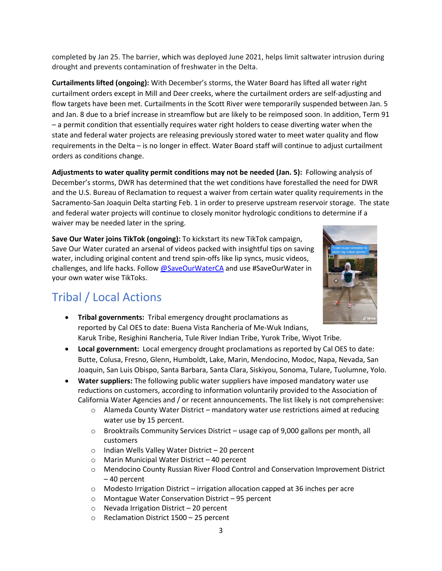completed by Jan 25. The barrier, which was deployed June 2021, helps limit saltwater intrusion during drought and prevents contamination of freshwater in the Delta.

**Curtailments lifted (ongoing):** With December's storms, the Water Board has lifted all water right curtailment orders except in Mill and Deer creeks, where the curtailment orders are self-adjusting and flow targets have been met. Curtailments in the Scott River were temporarily suspended between Jan. 5 and Jan. 8 due to a brief increase in streamflow but are likely to be reimposed soon. In addition, Term 91 – a permit condition that essentially requires water right holders to cease diverting water when the state and federal water projects are releasing previously stored water to meet water quality and flow requirements in the Delta – is no longer in effect. Water Board staff will continue to adjust curtailment orders as conditions change.

**Adjustments to water quality permit conditions may not be needed (Jan. 5):** Following analysis of December's storms, DWR has determined that the wet conditions have forestalled the need for DWR and the U.S. Bureau of Reclamation to request a waiver from certain water quality requirements in the Sacramento-San Joaquin Delta starting Feb. 1 in order to preserve upstream reservoir storage. The state and federal water projects will continue to closely monitor hydrologic conditions to determine if a waiver may be needed later in the spring.

**Save Our Water joins TikTok (ongoing):** To kickstart its new TikTok campaign, Save Our Water curated an arsenal of videos packed with insightful tips on saving water, including original content and trend spin-offs like lip syncs, music videos, challenges, and life hacks. Follow [@SaveOurWaterCA](https://www.tiktok.com/@saveourwaterca?is_copy_url=1&is_from_webapp=v1) and use #SaveOurWater in your own water wise TikToks.



## Tribal / Local Actions

- **Tribal governments:** Tribal emergency drought proclamations as reported by Cal OES to date: Buena Vista Rancheria of Me-Wuk Indians, Karuk Tribe, Resighini Rancheria, Tule River Indian Tribe, Yurok Tribe, Wiyot Tribe.
- **Local government:** Local emergency drought proclamations as reported by Cal OES to date: Butte, Colusa, Fresno, Glenn, Humboldt, Lake, Marin, Mendocino, Modoc, Napa, Nevada, San Joaquin, San Luis Obispo, Santa Barbara, Santa Clara, Siskiyou, Sonoma, Tulare, Tuolumne, Yolo.
- **Water suppliers:** The following public water suppliers have imposed mandatory water use reductions on customers, according to information voluntarily provided to the Association of California Water Agencies and / or recent announcements. The list likely is not comprehensive:
	- o Alameda County Water District mandatory water use restrictions aimed at reducing water use by 15 percent.
	- $\circ$  Brooktrails Community Services District usage cap of 9,000 gallons per month, all customers
	- o Indian Wells Valley Water District 20 percent
	- o Marin Municipal Water District 40 percent
	- o Mendocino County Russian River Flood Control and Conservation Improvement District – 40 percent
	- $\circ$  Modesto Irrigation District irrigation allocation capped at 36 inches per acre
	- o Montague Water Conservation District 95 percent
	- o Nevada Irrigation District 20 percent
	- o Reclamation District 1500 25 percent